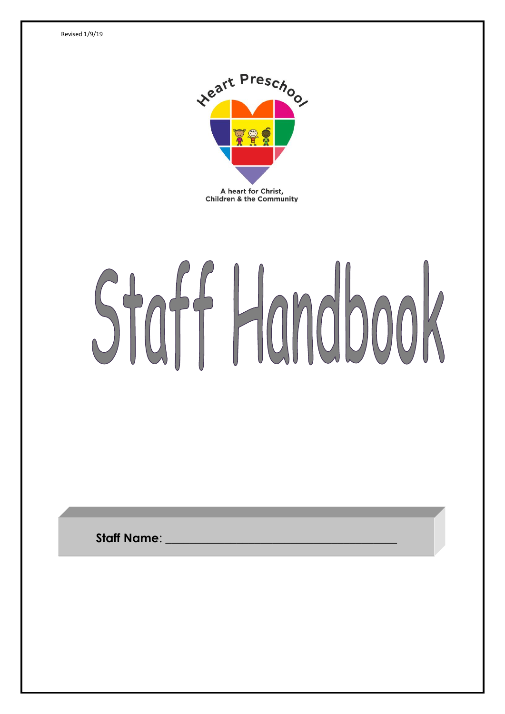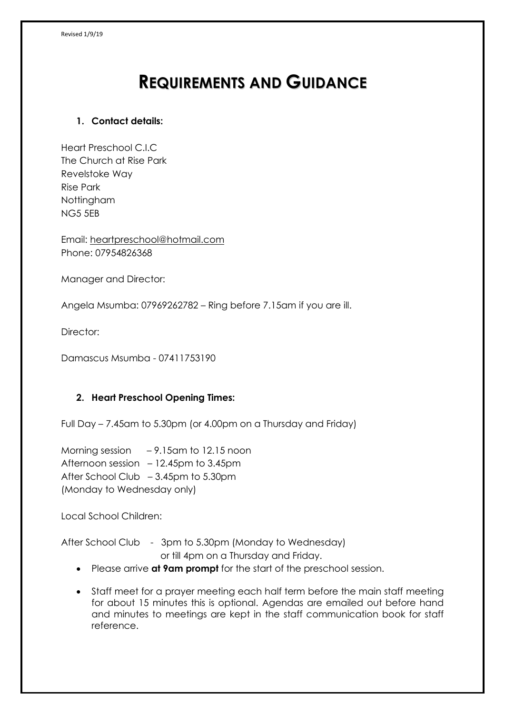# **REQUIREMENTS AND GUIDANCE**

# **1. Contact details:**

Heart Preschool C.I.C The Church at Rise Park Revelstoke Way Rise Park Nottingham NG5 5EB

Email: [heartpreschool@hotmail.com](mailto:heartpreschool@hotmail.com) Phone: 07954826368

Manager and Director:

Angela Msumba: 07969262782 – Ring before 7.15am if you are ill.

Director:

Damascus Msumba - 07411753190

## **2. Heart Preschool Opening Times:**

Full Day – 7.45am to 5.30pm (or 4.00pm on a Thursday and Friday)

Morning session – 9.15am to 12.15 noon Afternoon session – 12.45pm to 3.45pm After School Club – 3.45pm to 5.30pm (Monday to Wednesday only)

Local School Children:

After School Club - 3pm to 5.30pm (Monday to Wednesday) or till 4pm on a Thursday and Friday.

- Please arrive **at 9am prompt** for the start of the preschool session.
- Staff meet for a prayer meeting each half term before the main staff meeting for about 15 minutes this is optional. Agendas are emailed out before hand and minutes to meetings are kept in the staff communication book for staff reference.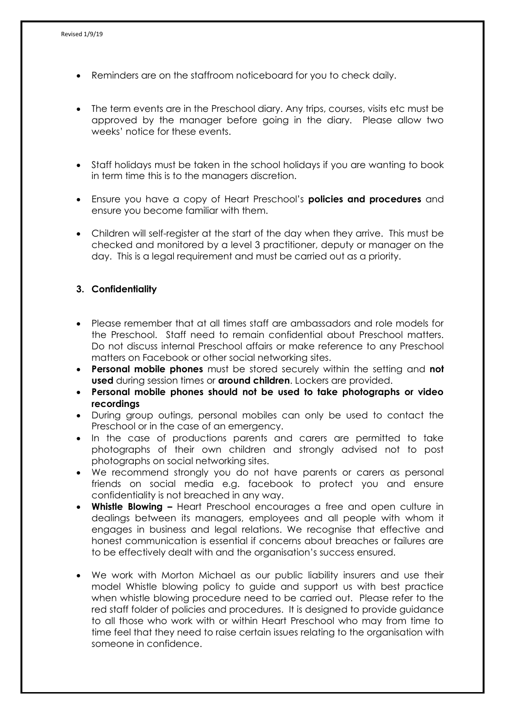- Reminders are on the staffroom noticeboard for you to check daily.
- The term events are in the Preschool diary. Any trips, courses, visits etc must be approved by the manager before going in the diary. Please allow two weeks' notice for these events.
- Staff holidays must be taken in the school holidays if you are wanting to book in term time this is to the managers discretion.
- Ensure you have a copy of Heart Preschool's **policies and procedures** and ensure you become familiar with them.
- Children will self-register at the start of the day when they arrive. This must be checked and monitored by a level 3 practitioner, deputy or manager on the day. This is a legal requirement and must be carried out as a priority.

#### **3. Confidentiality**

- Please remember that at all times staff are ambassadors and role models for the Preschool. Staff need to remain confidential about Preschool matters. Do not discuss internal Preschool affairs or make reference to any Preschool matters on Facebook or other social networking sites.
- **Personal mobile phones** must be stored securely within the setting and **not used** during session times or **around children**. Lockers are provided.
- **Personal mobile phones should not be used to take photographs or video recordings**
- During group outings, personal mobiles can only be used to contact the Preschool or in the case of an emergency.
- In the case of productions parents and carers are permitted to take photographs of their own children and strongly advised not to post photographs on social networking sites.
- We recommend strongly you do not have parents or carers as personal friends on social media e.g. facebook to protect you and ensure confidentiality is not breached in any way.
- **Whistle Blowing –** Heart Preschool encourages a free and open culture in dealings between its managers, employees and all people with whom it engages in business and legal relations. We recognise that effective and honest communication is essential if concerns about breaches or failures are to be effectively dealt with and the organisation's success ensured.
- We work with Morton Michael as our public liability insurers and use their model Whistle blowing policy to guide and support us with best practice when whistle blowing procedure need to be carried out. Please refer to the red staff folder of policies and procedures. It is designed to provide guidance to all those who work with or within Heart Preschool who may from time to time feel that they need to raise certain issues relating to the organisation with someone in confidence.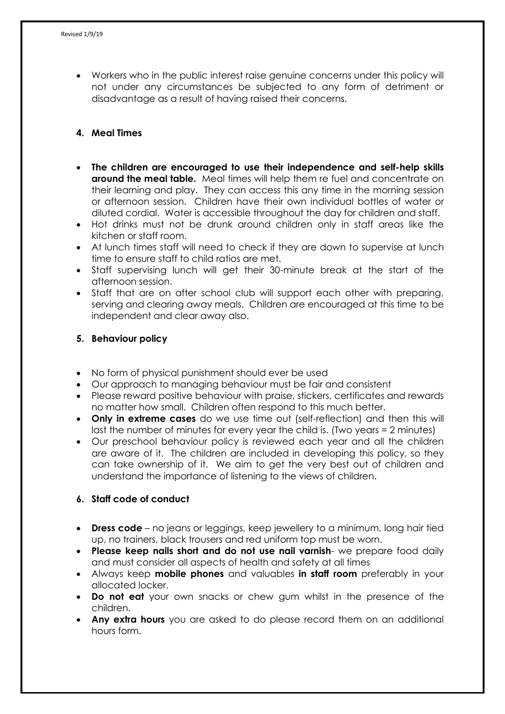• Workers who in the public interest raise genuine concerns under this policy will not under any circumstances be subjected to any form of detriment or disadvantage as a result of having raised their concerns.

# **4. Meal Times**

- **The children are encouraged to use their independence and self-help skills around the meal table.** Meal times will help them re fuel and concentrate on their learning and play. They can access this any time in the morning session or afternoon session. Children have their own individual bottles of water or diluted cordial. Water is accessible throughout the day for children and staff.
- Hot drinks must not be drunk around children only in staff areas like the kitchen or staff room.
- At lunch times staff will need to check if they are down to supervise at lunch time to ensure staff to child ratios are met.
- Staff supervising lunch will get their 30-minute break at the start of the afternoon session.
- Staff that are on after school club will support each other with preparing, serving and clearing away meals. Children are encouraged at this time to be independent and clear away also.

#### **5. Behaviour policy**

- No form of physical punishment should ever be used
- Our approach to managing behaviour must be fair and consistent
- Please reward positive behaviour with praise, stickers, certificates and rewards no matter how small. Children often respond to this much better.
- **Only in extreme cases** do we use time out (self-reflection) and then this will last the number of minutes for every year the child is. (Two years = 2 minutes)
- Our preschool behaviour policy is reviewed each year and all the children are aware of it. The children are included in developing this policy, so they can take ownership of it. We aim to get the very best out of children and understand the importance of listening to the views of children.

## **6. Staff code of conduct**

- **Dress code** no jeans or leggings, keep jewellery to a minimum, long hair tied up, no trainers, black trousers and red uniform top must be worn.
- **Please keep nails short and do not use nail varnish** we prepare food daily and must consider all aspects of health and safety at all times
- Always keep **mobile phones** and valuables **in staff room** preferably in your allocated locker.
- **Do not eat** your own snacks or chew gum whilst in the presence of the children.
- **Any extra hours** you are asked to do please record them on an additional hours form.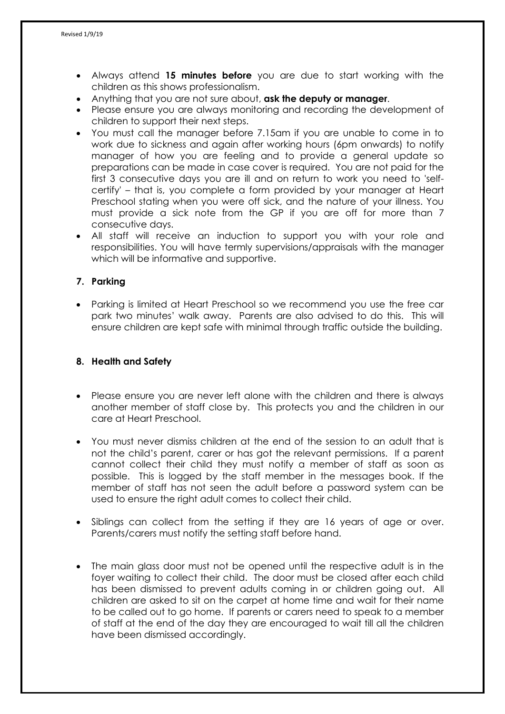- Always attend **15 minutes before** you are due to start working with the children as this shows professionalism.
- Anything that you are not sure about, **ask the deputy or manager**.
- Please ensure you are always monitoring and recording the development of children to support their next steps.
- You must call the manager before 7.15am if you are unable to come in to work due to sickness and again after working hours (6pm onwards) to notify manager of how you are feeling and to provide a general update so preparations can be made in case cover is required. You are not paid for the first 3 consecutive days you are ill and on return to work you need to 'selfcertify' – that is, you complete a form provided by your manager at Heart Preschool stating when you were off sick, and the nature of your illness. You must provide a sick note from the GP if you are off for more than 7 consecutive days.
- All staff will receive an induction to support you with your role and responsibilities. You will have termly supervisions/appraisals with the manager which will be informative and supportive.

# **7. Parking**

• Parking is limited at Heart Preschool so we recommend you use the free car park two minutes' walk away. Parents are also advised to do this. This will ensure children are kept safe with minimal through traffic outside the building.

## **8. Health and Safety**

- Please ensure you are never left alone with the children and there is always another member of staff close by. This protects you and the children in our care at Heart Preschool.
- You must never dismiss children at the end of the session to an adult that is not the child's parent, carer or has got the relevant permissions. If a parent cannot collect their child they must notify a member of staff as soon as possible. This is logged by the staff member in the messages book. If the member of staff has not seen the adult before a password system can be used to ensure the right adult comes to collect their child.
- Siblings can collect from the setting if they are 16 years of age or over. Parents/carers must notify the setting staff before hand.
- The main glass door must not be opened until the respective adult is in the foyer waiting to collect their child. The door must be closed after each child has been dismissed to prevent adults coming in or children going out. All children are asked to sit on the carpet at home time and wait for their name to be called out to go home. If parents or carers need to speak to a member of staff at the end of the day they are encouraged to wait till all the children have been dismissed accordingly.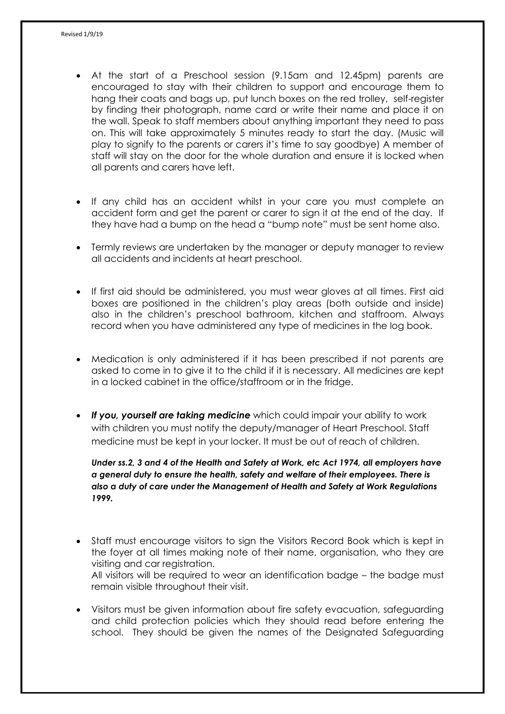- At the start of a Preschool session (9.15am and 12.45pm) parents are encouraged to stay with their children to support and encourage them to hang their coats and bags up, put lunch boxes on the red trolley, self-register by finding their photograph, name card or write their name and place it on the wall. Speak to staff members about anything important they need to pass on. This will take approximately 5 minutes ready to start the day. (Music will play to signify to the parents or carers it's time to say goodbye) A member of staff will stay on the door for the whole duration and ensure it is locked when all parents and carers have left.
- If any child has an accident whilst in your care you must complete an accident form and get the parent or carer to sign it at the end of the day. If they have had a bump on the head a "bump note" must be sent home also.
- Termly reviews are undertaken by the manager or deputy manager to review all accidents and incidents at heart preschool.
- If first aid should be administered, you must wear gloves at all times. First aid boxes are positioned in the children's play areas (both outside and inside) also in the children's preschool bathroom, kitchen and staffroom. Always record when you have administered any type of medicines in the log book.
- Medication is only administered if it has been prescribed if not parents are asked to come in to give it to the child if it is necessary. All medicines are kept in a locked cabinet in the office/staffroom or in the fridge.
- *If you, yourself are taking medicine* which could impair your ability to work with children you must notify the deputy/manager of Heart Preschool. Staff medicine must be kept in your locker. It must be out of reach of children.

*Under ss.2, 3 and 4 of the Health and Safety at Work, etc Act 1974, all employers have a general duty to ensure the health, safety and welfare of their employees. There is also a duty of care under the Management of Health and Safety at Work Regulations 1999.*

- Staff must encourage visitors to sign the Visitors Record Book which is kept in the foyer at all times making note of their name, organisation, who they are visiting and car registration. All visitors will be required to wear an identification badge – the badge must remain visible throughout their visit.
- Visitors must be given information about fire safety evacuation, safeguarding and child protection policies which they should read before entering the school. They should be given the names of the Designated Safeguarding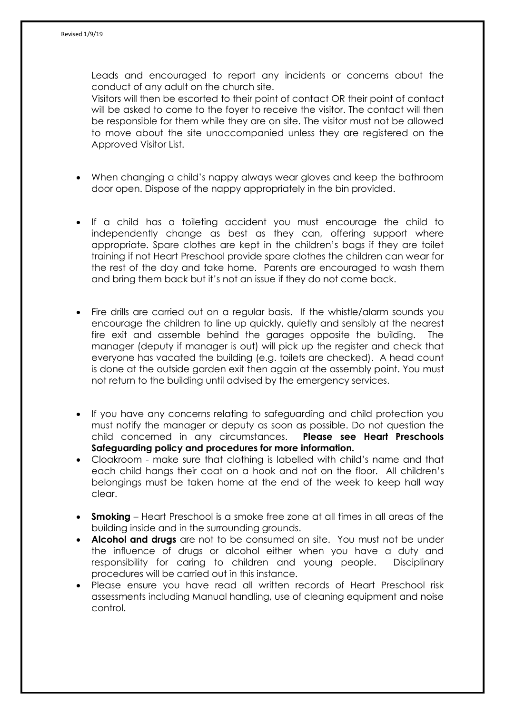Leads and encouraged to report any incidents or concerns about the conduct of any adult on the church site. Visitors will then be escorted to their point of contact OR their point of contact will be asked to come to the foyer to receive the visitor. The contact will then

be responsible for them while they are on site. The visitor must not be allowed to move about the site unaccompanied unless they are registered on the Approved Visitor List.

- When changing a child's nappy always wear gloves and keep the bathroom door open. Dispose of the nappy appropriately in the bin provided.
- If a child has a toileting accident you must encourage the child to independently change as best as they can, offering support where appropriate. Spare clothes are kept in the children's bags if they are toilet training if not Heart Preschool provide spare clothes the children can wear for the rest of the day and take home. Parents are encouraged to wash them and bring them back but it's not an issue if they do not come back.
- Fire drills are carried out on a regular basis. If the whistle/alarm sounds you encourage the children to line up quickly, quietly and sensibly at the nearest fire exit and assemble behind the garages opposite the building. The manager (deputy if manager is out) will pick up the register and check that everyone has vacated the building (e.g. toilets are checked). A head count is done at the outside garden exit then again at the assembly point. You must not return to the building until advised by the emergency services.
- If you have any concerns relating to safeguarding and child protection you must notify the manager or deputy as soon as possible. Do not question the child concerned in any circumstances. **Please see Heart Preschools Safeguarding policy and procedures for more information.**
- Cloakroom make sure that clothing is labelled with child's name and that each child hangs their coat on a hook and not on the floor. All children's belongings must be taken home at the end of the week to keep hall way clear.
- **Smoking**  Heart Preschool is a smoke free zone at all times in all areas of the building inside and in the surrounding grounds.
- **Alcohol and drugs** are not to be consumed on site. You must not be under the influence of drugs or alcohol either when you have a duty and responsibility for caring to children and young people. Disciplinary procedures will be carried out in this instance.
- Please ensure you have read all written records of Heart Preschool risk assessments including Manual handling, use of cleaning equipment and noise control.